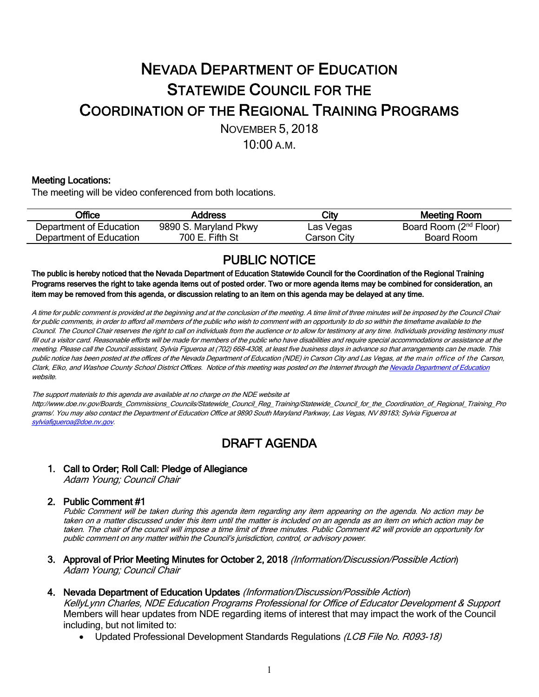# NEVADA DEPARTMENT OF EDUCATION STATEWIDE COUNCIL FOR THE COORDINATION OF THE REGIONAL TRAINING PROGRAMS NOVEMBER 5, 2018

10:00 A.M.

#### Meeting Locations:

The meeting will be video conferenced from both locations.

| <b>Office</b>           | Address               | City        | Meeting Room                       |
|-------------------------|-----------------------|-------------|------------------------------------|
| Department of Education | 9890 S. Maryland Pkwy | Las Vegas   | Board Room (2 <sup>nd</sup> Floor) |
| Department of Education | 700 E. Fifth St       | Carson Citv | Board Room                         |

PUBLIC NOTICE The public is hereby noticed that the Nevada Department of Education Statewide Council for the Coordination of the Regional Training Programs reserves the right to take agenda items out of posted order. Two or more agenda items may be combined for consideration, an item may be removed from this agenda, or discussion relating to an item on this agenda may be delayed at any time.

A time for public comment is provided at the beginning and at the conclusion of the meeting. A time limit of three minutes will be imposed by the Council Chair for public comments, in order to afford all members of the public who wish to comment with an opportunity to do so within the timeframe available to the Council. The Council Chair reserves the right to call on individuals from the audience or to allow for testimony at any time. Individuals providing testimony must fill out <sup>a</sup> visitor card. Reasonable efforts will be made for members of the public who have disabilities and require special accommodations or assistance at the meeting. Please call the Council assistant, Sylvia Figueroa at (702) 668-4308, at least five business days in advance so that arrangements can be made. This public notice has been posted at the offices of the Nevada Department of Education (NDE) in Carson City and Las Vegas, at the main office of the Carson, Clark, Elko, and Washoe County School District Offices. Notice of this meeting was posted on the Internet through the Nevada Department of Education website.

The support materials to this agenda are available at no charge on the NDE website at http://www.doe.nv.gov/Boards\_Commissions\_Councils/Statewide\_Council\_Reg\_Training/Statewide\_Council\_for\_the\_Coordination\_of\_Regional\_Training\_Pro grams/. You may also contact the Department of Education Office at 9890 South Maryland Parkway, Las Vegas, NV 89183; Sylvia Figueroa at sylviafigueroa@doe.nv.gov.

## DRAFT AGENDA

1. Call to Order; Roll Call: Pledge of Allegiance

Adam Young; Council Chair

### 2. Public Comment #1

Public Comment will be taken during this agenda item regarding any item appearing on the agenda. No action may be taken on a matter discussed under this item until the matter is included on an agenda as an item on which action may be taken. The chair of the council will impose <sup>a</sup> time limit of three minutes. Public Comment #2 will provide an opportunity for public comment on any matter within the Council's jurisdiction, control, or advisory power.

3. Approval of Prior Meeting Minutes for October 2, 2018 (Information/Discussion/Possible Action) Adam Young; Council Chair

#### 4. Nevada Department of Education Updates (Information/Discussion/Possible Action)

KellyLynn Charles, NDE Education Programs Professional for Office of Educator Development & Support Members will hear updates from NDE regarding items of interest that may impact the work of the Council including, but not limited to:

Updated Professional Development Standards Regulations (LCB File No. R093-18)